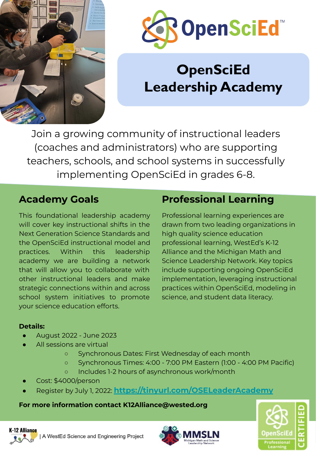



# **OpenSciEd Leadership Academy**

Join a growing community of instructional leaders (coaches and administrators) who are supporting teachers, schools, and school systems in successfully implementing OpenSciEd in grades 6-8.

### **Academy Goals**

This foundational leadership academy will cover key instructional shifts in the Next Generation Science Standards and the OpenSciEd instructional model and practices. Within this leadership academy we are building a network that will allow you to collaborate with other instructional leaders and make strategic connections within and across school system initiatives to promote your science education efforts.

## **Professional Learning**

Professional learning experiences are drawn from two leading organizations in high quality science education professional learning, WestEd's K-12 Alliance and the Michigan Math and Science Leadership Network. Key topics include supporting ongoing OpenSciEd implementation, leveraging instructional practices within OpenSciEd, modeling in science, and student data literacy.

### **Details:**

- August 2022 June 2023
- All sessions are virtual
	- Synchronous Dates: First Wednesday of each month
	- Synchronous Times: 4:00 7:00 PM Eastern (1:00 4:00 PM Pacific)
	- Includes 1-2 hours of asynchronous work/month
- Cost: \$4000/person
- Register by July 1, 2022: **<https://tinyurl.com/OSELeaderAcademy>**

### **For more information contact K12Alliance@wested.org**



**K-12 Alliance** | A WestEd Science and Engineering Project